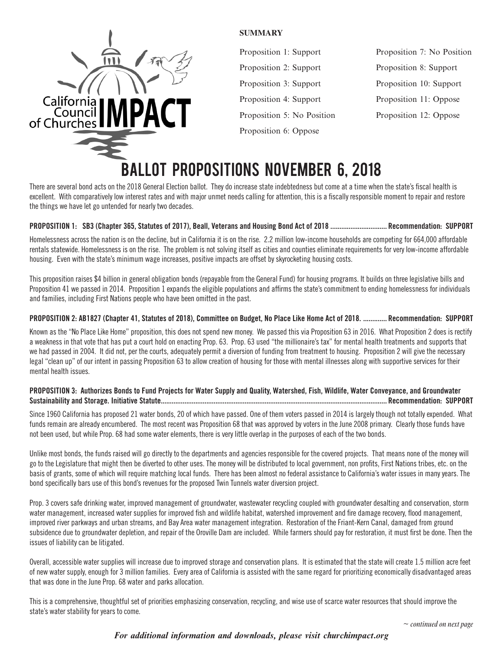

#### **SUMMARY**

Proposition 1: Support Proposition 2: Support Proposition 3: Support Proposition 4: Support Proposition 5: No Position Proposition 6: Oppose

Proposition 7: No Position Proposition 8: Support Proposition 10: Support Proposition 11: Oppose Proposition 12: Oppose

# BALLOT PROPOSITIONS NOVEMBER 6, 2018

There are several bond acts on the 2018 General Election ballot. They do increase state indebtedness but come at a time when the state's fiscal health is excellent. With comparatively low interest rates and with major unmet needs calling for attention, this is a fiscally responsible moment to repair and restore the things we have let go untended for nearly two decades.

# **PROPOSITION 1: SB3 (Chapter 365, Statutes of 2017), Beall, Veterans and Housing Bond Act of 2018 ............................... Recommendation: SUPPORT**

Homelessness across the nation is on the decline, but in California it is on the rise. 2.2 million low-income households are competing for 664,000 affordable rentals statewide. Homelessness is on the rise. The problem is not solving itself as cities and counties eliminate requirements for very low-income affordable housing. Even with the state's minimum wage increases, positive impacts are offset by skyrocketing housing costs.

This proposition raises \$4 billion in general obligation bonds (repayable from the General Fund) for housing programs. It builds on three legislative bills and Proposition 41 we passed in 2014. Proposition 1 expands the eligible populations and affirms the state's commitment to ending homelessness for individuals and families, including First Nations people who have been omitted in the past.

# **PROPOSITION 2: AB1827 (Chapter 41, Statutes of 2018), Committee on Budget, No Place Like Home Act of 2018. ............. Recommendation: SUPPORT**

Known as the "No Place Like Home" proposition, this does not spend new money. We passed this via Proposition 63 in 2016. What Proposition 2 does is rectify a weakness in that vote that has put a court hold on enacting Prop. 63. Prop. 63 used "the millionaire's tax" for mental health treatments and supports that we had passed in 2004. It did not, per the courts, adequately permit a diversion of funding from treatment to housing. Proposition 2 will give the necessary legal "clean up" of our intent in passing Proposition 63 to allow creation of housing for those with mental illnesses along with supportive services for their mental health issues.

### **PROPOSITION 3: Authorizes Bonds to Fund Projects for Water Supply and Quality, Watershed, Fish, Wildlife, Water Conveyance, and Groundwater Sustainability and Storage. Initiative Statute............................................................................................................................ Recommendation: SUPPORT**

Since 1960 California has proposed 21 water bonds, 20 of which have passed. One of them voters passed in 2014 is largely though not totally expended. What funds remain are already encumbered. The most recent was Proposition 68 that was approved by voters in the June 2008 primary. Clearly those funds have not been used, but while Prop. 68 had some water elements, there is very little overlap in the purposes of each of the two bonds.

Unlike most bonds, the funds raised will go directly to the departments and agencies responsible for the covered projects. That means none of the money will go to the Legislature that might then be diverted to other uses. The money will be distributed to local government, non profits, First Nations tribes, etc. on the basis of grants, some of which will require matching local funds. There has been almost no federal assistance to California's water issues in many years. The bond specifically bars use of this bond's revenues for the proposed Twin Tunnels water diversion project.

Prop. 3 covers safe drinking water, improved management of groundwater, wastewater recycling coupled with groundwater desalting and conservation, storm water management, increased water supplies for improved fish and wildlife habitat, watershed improvement and fire damage recovery, flood management, improved river parkways and urban streams, and Bay Area water management integration. Restoration of the Friant-Kern Canal, damaged from ground subsidence due to groundwater depletion, and repair of the Oroville Dam are included. While farmers should pay for restoration, it must first be done. Then the issues of liability can be litigated.

Overall, accessible water supplies will increase due to improved storage and conservation plans. It is estimated that the state will create 1.5 million acre feet of new water supply, enough for 3 million families. Every area of California is assisted with the same regard for prioritizing economically disadvantaged areas that was done in the June Prop. 68 water and parks allocation.

This is a comprehensive, thoughtful set of priorities emphasizing conservation, recycling, and wise use of scarce water resources that should improve the state's water stability for years to come.

# *For additional information and downloads, please visit churchimpact.org*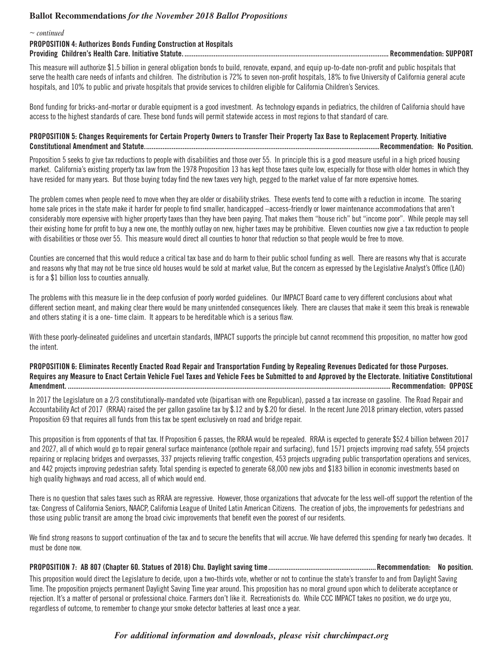# **Ballot Recommendations** *for the November 2018 Ballot Propositions*

| $\sim$ continued                                                         |                           |
|--------------------------------------------------------------------------|---------------------------|
| <b>PROPOSITION 4: Authorizes Bonds Funding Construction at Hospitals</b> |                           |
|                                                                          | . Recommendation: SUPPORT |

This measure will authorize \$1.5 billion in general obligation bonds to build, renovate, expand, and equip up-to-date non-profit and public hospitals that serve the health care needs of infants and children. The distribution is 72% to seven non-profit hospitals, 18% to five University of California general acute hospitals, and 10% to public and private hospitals that provide services to children eligible for California Children's Services.

Bond funding for bricks-and-mortar or durable equipment is a good investment. As technology expands in pediatrics, the children of California should have access to the highest standards of care. These bond funds will permit statewide access in most regions to that standard of care.

#### **PROPOSITION 5: Changes Requirements for Certain Property Owners to Transfer Their Property Tax Base to Replacement Property. Initiative Constitutional Amendment and Statute.................................................................................................................................Recommendation: No Position.**

Proposition 5 seeks to give tax reductions to people with disabilities and those over 55. In principle this is a good measure useful in a high priced housing market. California's existing property tax law from the 1978 Proposition 13 has kept those taxes quite low, especially for those with older homes in which they have resided for many years. But those buying today find the new taxes very high, pegged to the market value of far more expensive homes.

The problem comes when people need to move when they are older or disability strikes. These events tend to come with a reduction in income. The soaring home sale prices in the state make it harder for people to find smaller, handicapped –access-friendly or lower maintenance accommodations that aren't considerably more expensive with higher property taxes than they have been paying. That makes them "house rich" but "income poor". While people may sell their existing home for profit to buy a new one, the monthly outlay on new, higher taxes may be prohibitive. Eleven counties now give a tax reduction to people with disabilities or those over 55. This measure would direct all counties to honor that reduction so that people would be free to move.

Counties are concerned that this would reduce a critical tax base and do harm to their public school funding as well. There are reasons why that is accurate and reasons why that may not be true since old houses would be sold at market value, But the concern as expressed by the Legislative Analyst's Office (LAO) is for a \$1 billion loss to counties annually.

The problems with this measure lie in the deep confusion of poorly worded guidelines. Our IMPACT Board came to very different conclusions about what different section meant, and making clear there would be many unintended consequences likely. There are clauses that make it seem this break is renewable and others stating it is a one- time claim. It appears to be hereditable which is a serious flaw.

With these poorly-delineated guidelines and uncertain standards, IMPACT supports the principle but cannot recommend this proposition, no matter how good the intent.

**PROPOSITION 6: Eliminates Recently Enacted Road Repair and Transportation Funding by Repealing Revenues Dedicated for those Purposes. Requires any Measure to Enact Certain Vehicle Fuel Taxes and Vehicle Fees be Submitted to and Approved by the Electorate. Initiative Constitutional Amendment. ................................................................................................................................................................................. Recommendation: OPPOSE**

In 2017 the Legislature on a 2/3 constitutionally-mandated vote (bipartisan with one Republican), passed a tax increase on gasoline. The Road Repair and Accountability Act of 2017 (RRAA) raised the per gallon gasoline tax by \$.12 and by \$.20 for diesel. In the recent June 2018 primary election, voters passed Proposition 69 that requires all funds from this tax be spent exclusively on road and bridge repair.

This proposition is from opponents of that tax. If Proposition 6 passes, the RRAA would be repealed. RRAA is expected to generate \$52.4 billion between 2017 and 2027, all of which would go to repair general surface maintenance (pothole repair and surfacing), fund 1571 projects improving road safety, 554 projects repairing or replacing bridges and overpasses, 337 projects relieving traffic congestion, 453 projects upgrading public transportation operations and services, and 442 projects improving pedestrian safety. Total spending is expected to generate 68,000 new jobs and \$183 billion in economic investments based on high quality highways and road access, all of which would end.

There is no question that sales taxes such as RRAA are regressive. However, those organizations that advocate for the less well-off support the retention of the tax: Congress of California Seniors, NAACP, California League of United Latin American Citizens. The creation of jobs, the improvements for pedestrians and those using public transit are among the broad civic improvements that benefit even the poorest of our residents.

We find strong reasons to support continuation of the tax and to secure the benefits that will accrue. We have deferred this spending for nearly two decades. It must be done now.

**PROPOSITION 7: AB 807 (Chapter 60. Statues of 2018) Chu. Daylight saving time...........................................................Recommendation: No position.**

This proposition would direct the Legislature to decide, upon a two-thirds vote, whether or not to continue the state's transfer to and from Daylight Saving Time. The proposition projects permanent Daylight Saving Time year around. This proposition has no moral ground upon which to deliberate acceptance or rejection. It's a matter of personal or professional choice. Farmers don't like it. Recreationists do. While CCC IMPACT takes no position, we do urge you, regardless of outcome, to remember to change your smoke detector batteries at least once a year.

# *For additional information and downloads, please visit churchimpact.org*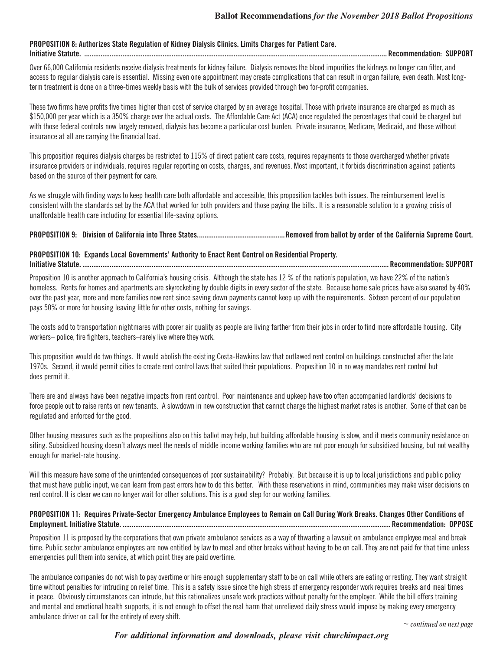#### **PROPOSITION 8: Authorizes State Regulation of Kidney Dialysis Clinics. Limits Charges for Patient Care. Initiative Statute. ...................................................................................................................................................................... Recommendation: SUPPORT**

Over 66,000 California residents receive dialysis treatments for kidney failure. Dialysis removes the blood impurities the kidneys no longer can filter, and access to regular dialysis care is essential. Missing even one appointment may create complications that can result in organ failure, even death. Most longterm treatment is done on a three-times weekly basis with the bulk of services provided through two for-profit companies.

These two firms have profits five times higher than cost of service charged by an average hospital. Those with private insurance are charged as much as \$150,000 per year which is a 350% charge over the actual costs. The Affordable Care Act (ACA) once regulated the percentages that could be charged but with those federal controls now largely removed, dialysis has become a particular cost burden. Private insurance, Medicare, Medicaid, and those without insurance at all are carrying the financial load.

This proposition requires dialysis charges be restricted to 115% of direct patient care costs, requires repayments to those overcharged whether private insurance providers or individuals, requires regular reporting on costs, charges, and revenues. Most important, it forbids discrimination against patients based on the source of their payment for care.

As we struggle with finding ways to keep health care both affordable and accessible, this proposition tackles both issues. The reimbursement level is consistent with the standards set by the ACA that worked for both providers and those paying the bills.. It is a reasonable solution to a growing crisis of unaffordable health care including for essential life-saving options.

#### **PROPOSITION 9: Division of California into Three States................................................Removed from ballot by order of the California Supreme Court.**

# **PROPOSITION 10: Expands Local Governments' Authority to Enact Rent Control on Residential Property.**

**Initiative Statute. ........................................................................................................................................................................ Recommendation: SUPPORT**

Proposition 10 is another approach to California's housing crisis. Although the state has 12 % of the nation's population, we have 22% of the nation's homeless. Rents for homes and apartments are skyrocketing by double digits in every sector of the state. Because home sale prices have also soared by 40% over the past year, more and more families now rent since saving down payments cannot keep up with the requirements. Sixteen percent of our population pays 50% or more for housing leaving little for other costs, nothing for savings.

The costs add to transportation nightmares with poorer air quality as people are living farther from their jobs in order to find more affordable housing. City workers– police, fire fighters, teachers–rarely live where they work.

This proposition would do two things. It would abolish the existing Costa-Hawkins law that outlawed rent control on buildings constructed after the late 1970s. Second, it would permit cities to create rent control laws that suited their populations. Proposition 10 in no way mandates rent control but does permit it.

There are and always have been negative impacts from rent control. Poor maintenance and upkeep have too often accompanied landlords' decisions to force people out to raise rents on new tenants. A slowdown in new construction that cannot charge the highest market rates is another. Some of that can be regulated and enforced for the good.

Other housing measures such as the propositions also on this ballot may help, but building affordable housing is slow, and it meets community resistance on siting. Subsidized housing doesn't always meet the needs of middle income working families who are not poor enough for subsidized housing, but not wealthy enough for market-rate housing.

Will this measure have some of the unintended consequences of poor sustainability? Probably. But because it is up to local jurisdictions and public policy that must have public input, we can learn from past errors how to do this better. With these reservations in mind, communities may make wiser decisions on rent control. It is clear we can no longer wait for other solutions. This is a good step for our working families.

#### **PROPOSITION 11: Requires Private-Sector Emergency Ambulance Employees to Remain on Call During Work Breaks. Changes Other Conditions of Employment. Initiative Statute. ................................................................................................................................................... Recommendation: OPPOSE**

Proposition 11 is proposed by the corporations that own private ambulance services as a way of thwarting a lawsuit on ambulance employee meal and break time. Public sector ambulance employees are now entitled by law to meal and other breaks without having to be on call. They are not paid for that time unless emergencies pull them into service, at which point they are paid overtime.

The ambulance companies do not wish to pay overtime or hire enough supplementary staff to be on call while others are eating or resting. They want straight time without penalties for intruding on relief time. This is a safety issue since the high stress of emergency responder work requires breaks and meal times in peace. Obviously circumstances can intrude, but this rationalizes unsafe work practices without penalty for the employer. While the bill offers training and mental and emotional health supports, it is not enough to offset the real harm that unrelieved daily stress would impose by making every emergency ambulance driver on call for the entirety of every shift.

# *For additional information and downloads, please visit churchimpact.org*